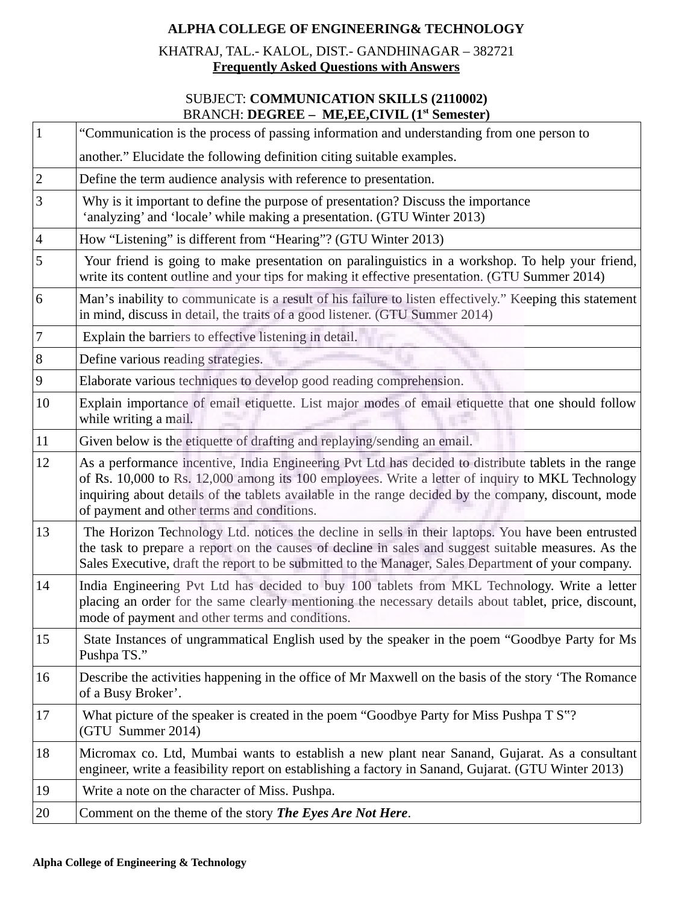# **ALPHA COLLEGE OF ENGINEERING& TECHNOLOGY**

KHATRAJ, TAL.- KALOL, DIST.- GANDHINAGAR – 382721 **Frequently Asked Questions with Answers**

#### SUBJECT: **COMMUNICATION SKILLS (2110002)** BRANCH: **DEGREE – ME,EE,CIVIL (1st Semester)**

| $\mathbf{1}$     | "Communication is the process of passing information and understanding from one person to                                                                                                                                                                                                                                                                      |
|------------------|----------------------------------------------------------------------------------------------------------------------------------------------------------------------------------------------------------------------------------------------------------------------------------------------------------------------------------------------------------------|
|                  | another." Elucidate the following definition citing suitable examples.                                                                                                                                                                                                                                                                                         |
| $\mathbf 2$      | Define the term audience analysis with reference to presentation.                                                                                                                                                                                                                                                                                              |
| 3                | Why is it important to define the purpose of presentation? Discuss the importance<br>'analyzing' and 'locale' while making a presentation. (GTU Winter 2013)                                                                                                                                                                                                   |
| $\overline{4}$   | How "Listening" is different from "Hearing"? (GTU Winter 2013)                                                                                                                                                                                                                                                                                                 |
| 5                | Your friend is going to make presentation on paralinguistics in a workshop. To help your friend,<br>write its content outline and your tips for making it effective presentation. (GTU Summer 2014)                                                                                                                                                            |
| 6                | Man's inability to communicate is a result of his failure to listen effectively." Keeping this statement<br>in mind, discuss in detail, the traits of a good listener. (GTU Summer 2014)                                                                                                                                                                       |
| 7                | Explain the barriers to effective listening in detail.                                                                                                                                                                                                                                                                                                         |
| $\, 8$           | Define various reading strategies.                                                                                                                                                                                                                                                                                                                             |
| $\boldsymbol{9}$ | Elaborate various techniques to develop good reading comprehension.                                                                                                                                                                                                                                                                                            |
| 10               | Explain importance of email etiquette. List major modes of email etiquette that one should follow<br>while writing a mail.                                                                                                                                                                                                                                     |
| 11               | Given below is the etiquette of drafting and replaying/sending an email.                                                                                                                                                                                                                                                                                       |
| 12               | As a performance incentive, India Engineering Pvt Ltd has decided to distribute tablets in the range<br>of Rs. 10,000 to Rs. 12,000 among its 100 employees. Write a letter of inquiry to MKL Technology<br>inquiring about details of the tablets available in the range decided by the company, discount, mode<br>of payment and other terms and conditions. |
| 13               | The Horizon Technology Ltd. notices the decline in sells in their laptops. You have been entrusted<br>the task to prepare a report on the causes of decline in sales and suggest suitable measures. As the<br>Sales Executive, draft the report to be submitted to the Manager, Sales Department of your company.                                              |
| 14               | India Engineering Pvt Ltd has decided to buy 100 tablets from MKL Technology. Write a letter<br>placing an order for the same clearly mentioning the necessary details about tablet, price, discount,<br>mode of payment and other terms and conditions.                                                                                                       |
| 15               | State Instances of ungrammatical English used by the speaker in the poem "Goodbye Party for Ms<br>Pushpa TS."                                                                                                                                                                                                                                                  |
| 16               | Describe the activities happening in the office of Mr Maxwell on the basis of the story 'The Romance<br>of a Busy Broker'.                                                                                                                                                                                                                                     |
| 17               | What picture of the speaker is created in the poem "Goodbye Party for Miss Pushpa T S"?<br>(GTU Summer 2014)                                                                                                                                                                                                                                                   |
| 18               | Micromax co. Ltd, Mumbai wants to establish a new plant near Sanand, Gujarat. As a consultant<br>engineer, write a feasibility report on establishing a factory in Sanand, Gujarat. (GTU Winter 2013)                                                                                                                                                          |
| 19               | Write a note on the character of Miss. Pushpa.                                                                                                                                                                                                                                                                                                                 |
|                  |                                                                                                                                                                                                                                                                                                                                                                |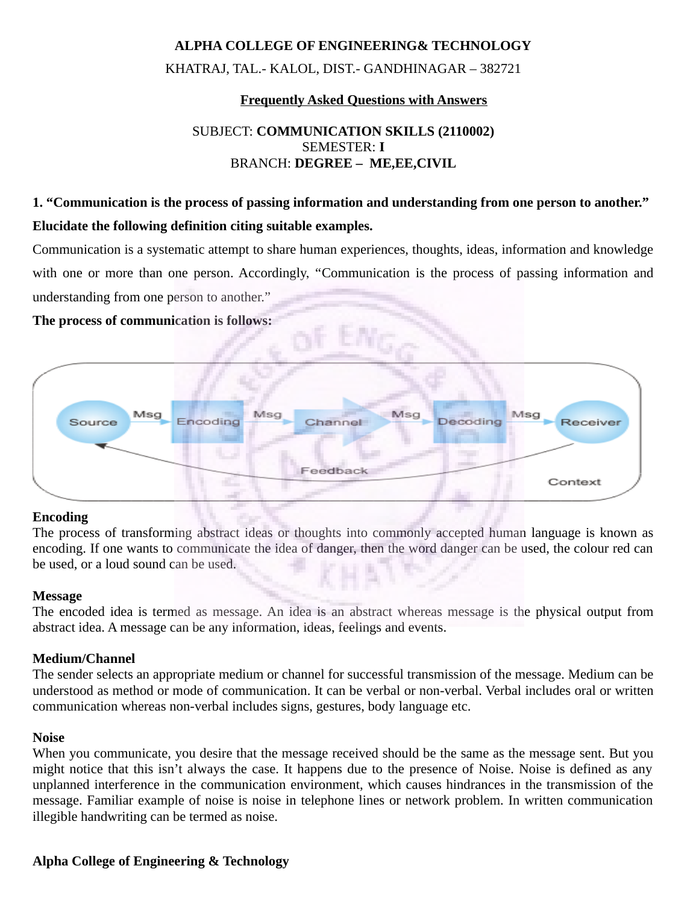#### **ALPHA COLLEGE OF ENGINEERING& TECHNOLOGY**

KHATRAJ, TAL.- KALOL, DIST.- GANDHINAGAR – 382721

#### **Frequently Asked Questions with Answers**

# SUBJECT: **COMMUNICATION SKILLS (2110002)** SEMESTER: **I** BRANCH: **DEGREE – ME,EE,CIVIL**

# **1. "Communication is the process of passing information and understanding from one person to another." Elucidate the following definition citing suitable examples.**

Communication is a systematic attempt to share human experiences, thoughts, ideas, information and knowledge with one or more than one person. Accordingly, "Communication is the process of passing information and understanding from one person to another."

#### **The process of communication is follows:**



#### **Encoding**

The process of transforming abstract ideas or thoughts into commonly accepted human language is known as encoding. If one wants to communicate the idea of danger, then the word danger can be used, the colour red can be used, or a loud sound can be used.

#### **Message**

The encoded idea is termed as message. An idea is an abstract whereas message is the physical output from abstract idea. A message can be any information, ideas, feelings and events.

#### **Medium/Channel**

The sender selects an appropriate medium or channel for successful transmission of the message. Medium can be understood as method or mode of communication. It can be verbal or non-verbal. Verbal includes oral or written communication whereas non-verbal includes signs, gestures, body language etc.

#### **Noise**

When you communicate, you desire that the message received should be the same as the message sent. But you might notice that this isn't always the case. It happens due to the presence of Noise. Noise is defined as any unplanned interference in the communication environment, which causes hindrances in the transmission of the message. Familiar example of noise is noise in telephone lines or network problem. In written communication illegible handwriting can be termed as noise.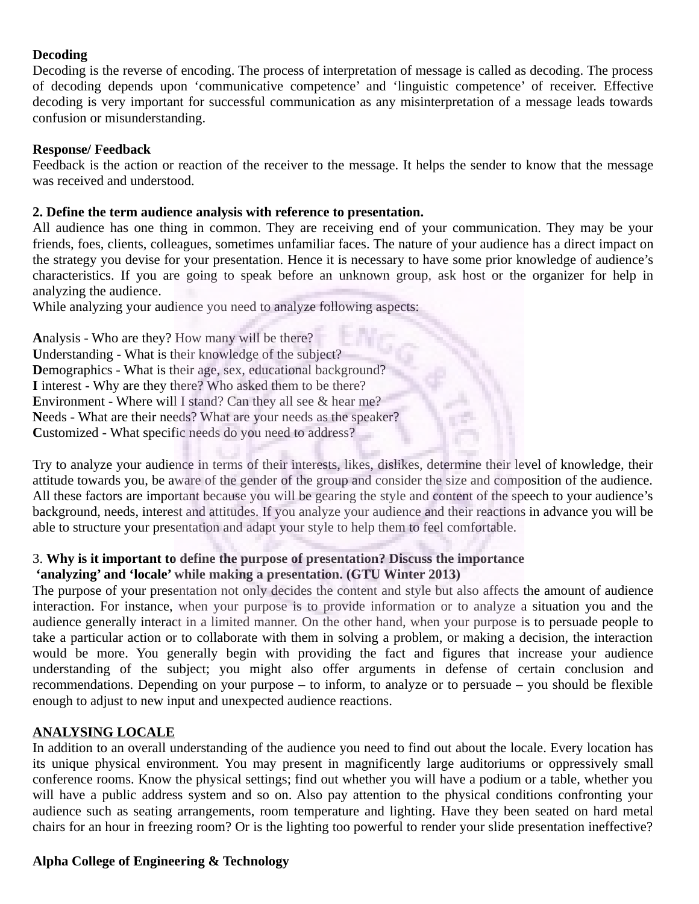# **Decoding**

Decoding is the reverse of encoding. The process of interpretation of message is called as decoding. The process of decoding depends upon 'communicative competence' and 'linguistic competence' of receiver. Effective decoding is very important for successful communication as any misinterpretation of a message leads towards confusion or misunderstanding.

## **Response/ Feedback**

Feedback is the action or reaction of the receiver to the message. It helps the sender to know that the message was received and understood.

#### **2. Define the term audience analysis with reference to presentation.**

All audience has one thing in common. They are receiving end of your communication. They may be your friends, foes, clients, colleagues, sometimes unfamiliar faces. The nature of your audience has a direct impact on the strategy you devise for your presentation. Hence it is necessary to have some prior knowledge of audience's characteristics. If you are going to speak before an unknown group, ask host or the organizer for help in analyzing the audience.

While analyzing your audience you need to analyze following aspects:

**A**nalysis - Who are they? How many will be there? **U**nderstanding - What is their knowledge of the subject? **Demographics - What is their age, sex, educational background? I** interest - Why are they there? Who asked them to be there? **Environment - Where will I stand? Can they all see & hear me? N**eeds - What are their needs? What are your needs as the speaker? **C**ustomized - What specific needs do you need to address?

Try to analyze your audience in terms of their interests, likes, dislikes, determine their level of knowledge, their attitude towards you, be aware of the gender of the group and consider the size and composition of the audience. All these factors are important because you will be gearing the style and content of the speech to your audience's background, needs, interest and attitudes. If you analyze your audience and their reactions in advance you will be able to structure your presentation and adapt your style to help them to feel comfortable.

# 3. **Why is it important to define the purpose of presentation? Discuss the importance 'analyzing' and 'locale' while making a presentation. (GTU Winter 2013)**

The purpose of your presentation not only decides the content and style but also affects the amount of audience interaction. For instance, when your purpose is to provide information or to analyze a situation you and the audience generally interact in a limited manner. On the other hand, when your purpose is to persuade people to take a particular action or to collaborate with them in solving a problem, or making a decision, the interaction would be more. You generally begin with providing the fact and figures that increase your audience understanding of the subject; you might also offer arguments in defense of certain conclusion and recommendations. Depending on your purpose – to inform, to analyze or to persuade – you should be flexible enough to adjust to new input and unexpected audience reactions.

# **ANALYSING LOCALE**

In addition to an overall understanding of the audience you need to find out about the locale. Every location has its unique physical environment. You may present in magnificently large auditoriums or oppressively small conference rooms. Know the physical settings; find out whether you will have a podium or a table, whether you will have a public address system and so on. Also pay attention to the physical conditions confronting your audience such as seating arrangements, room temperature and lighting. Have they been seated on hard metal chairs for an hour in freezing room? Or is the lighting too powerful to render your slide presentation ineffective?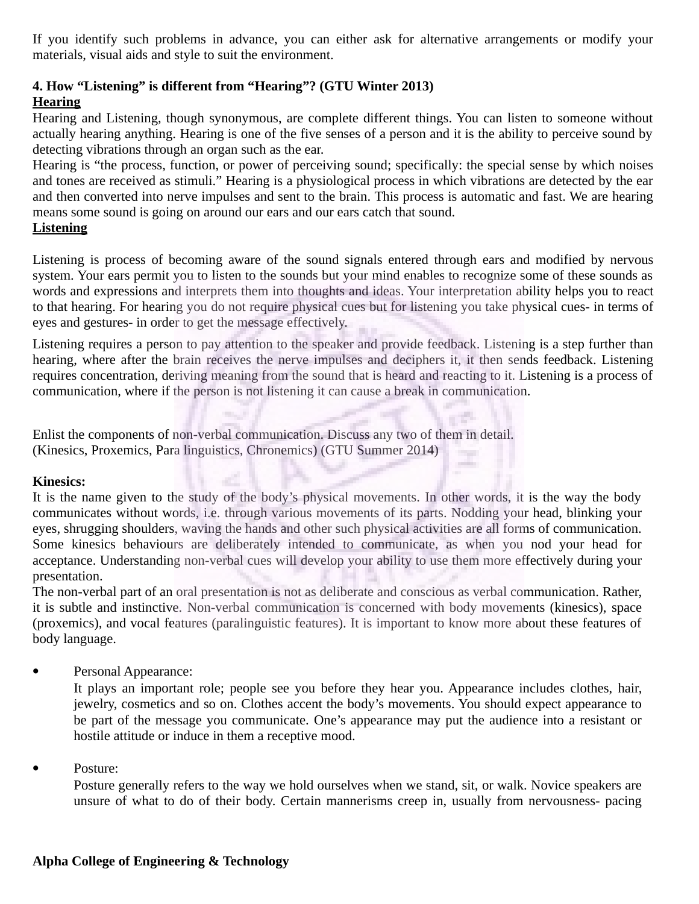If you identify such problems in advance, you can either ask for alternative arrangements or modify your materials, visual aids and style to suit the environment.

#### **4. How "Listening" is different from "Hearing"? (GTU Winter 2013) Hearing**

Hearing and Listening, though synonymous, are complete different things. You can listen to someone without actually hearing anything. Hearing is one of the five senses of a person and it is the ability to perceive sound by detecting vibrations through an organ such as the ear.

Hearing is "the process, function, or power of perceiving sound; specifically: the special sense by which noises and tones are received as stimuli." Hearing is a physiological process in which vibrations are detected by the ear and then converted into nerve impulses and sent to the brain. This process is automatic and fast. We are hearing means some sound is going on around our ears and our ears catch that sound.

# **Listening**

Listening is process of becoming aware of the sound signals entered through ears and modified by nervous system. Your ears permit you to listen to the sounds but your mind enables to recognize some of these sounds as words and expressions and interprets them into thoughts and ideas. Your interpretation ability helps you to react to that hearing. For hearing you do not require physical cues but for listening you take physical cues- in terms of eyes and gestures- in order to get the message effectively.

Listening requires a person to pay attention to the speaker and provide feedback. Listening is a step further than hearing, where after the brain receives the nerve impulses and deciphers it, it then sends feedback. Listening requires concentration, deriving meaning from the sound that is heard and reacting to it. Listening is a process of communication, where if the person is not listening it can cause a break in communication.

Enlist the components of non-verbal communication. Discuss any two of them in detail. (Kinesics, Proxemics, Para linguistics, Chronemics) (GTU Summer 2014)

# **Kinesics:**

It is the name given to the study of the body's physical movements. In other words, it is the way the body communicates without words, i.e. through various movements of its parts. Nodding your head, blinking your eyes, shrugging shoulders, waving the hands and other such physical activities are all forms of communication. Some kinesics behaviours are deliberately intended to communicate, as when you nod your head for acceptance. Understanding non-verbal cues will develop your ability to use them more effectively during your presentation.

The non-verbal part of an oral presentation is not as deliberate and conscious as verbal communication. Rather, it is subtle and instinctive. Non-verbal communication is concerned with body movements (kinesics), space (proxemics), and vocal features (paralinguistic features). It is important to know more about these features of body language.

• Personal Appearance:

It plays an important role; people see you before they hear you. Appearance includes clothes, hair, jewelry, cosmetics and so on. Clothes accent the body's movements. You should expect appearance to be part of the message you communicate. One's appearance may put the audience into a resistant or hostile attitude or induce in them a receptive mood.

Posture:

Posture generally refers to the way we hold ourselves when we stand, sit, or walk. Novice speakers are unsure of what to do of their body. Certain mannerisms creep in, usually from nervousness- pacing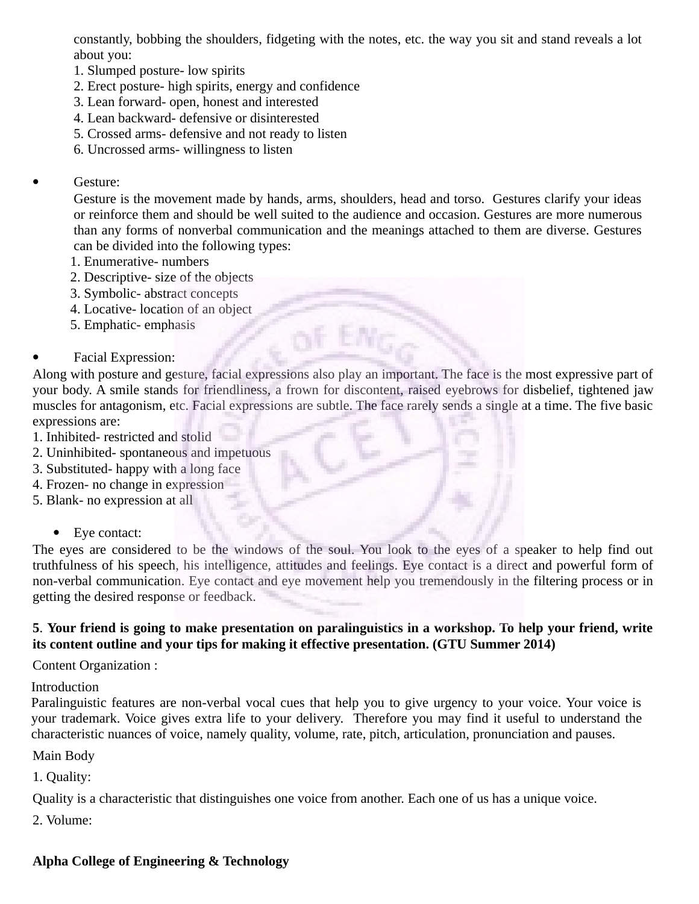constantly, bobbing the shoulders, fidgeting with the notes, etc. the way you sit and stand reveals a lot about you:

- 1. Slumped posture- low spirits
- 2. Erect posture- high spirits, energy and confidence
- 3. Lean forward- open, honest and interested
- 4. Lean backward- defensive or disinterested
- 5. Crossed arms- defensive and not ready to listen
- 6. Uncrossed arms- willingness to listen
- Gesture:

Gesture is the movement made by hands, arms, shoulders, head and torso. Gestures clarify your ideas or reinforce them and should be well suited to the audience and occasion. Gestures are more numerous than any forms of nonverbal communication and the meanings attached to them are diverse. Gestures can be divided into the following types:

- 1. Enumerative- numbers
- 2. Descriptive- size of the objects
- 3. Symbolic- abstract concepts
- 4. Locative- location of an object
- 5. Emphatic- emphasis
- Facial Expression:

Along with posture and gesture, facial expressions also play an important. The face is the most expressive part of your body. A smile stands for friendliness, a frown for discontent, raised eyebrows for disbelief, tightened jaw muscles for antagonism, etc. Facial expressions are subtle. The face rarely sends a single at a time. The five basic expressions are:

- 1. Inhibited- restricted and stolid
- 2. Uninhibited- spontaneous and impetuous
- 3. Substituted- happy with a long face
- 4. Frozen- no change in expression
- 5. Blank- no expression at all
	- Eye contact:

The eyes are considered to be the windows of the soul. You look to the eyes of a speaker to help find out truthfulness of his speech, his intelligence, attitudes and feelings. Eye contact is a direct and powerful form of non-verbal communication. Eye contact and eye movement help you tremendously in the filtering process or in getting the desired response or feedback.

## **5**. **Your friend is going to make presentation on paralinguistics in a workshop. To help your friend, write its content outline and your tips for making it effective presentation. (GTU Summer 2014)**

Content Organization :

Introduction

Paralinguistic features are non-verbal vocal cues that help you to give urgency to your voice. Your voice is your trademark. Voice gives extra life to your delivery. Therefore you may find it useful to understand the characteristic nuances of voice, namely quality, volume, rate, pitch, articulation, pronunciation and pauses.

Main Body

1. Quality:

Quality is a characteristic that distinguishes one voice from another. Each one of us has a unique voice.

2. Volume: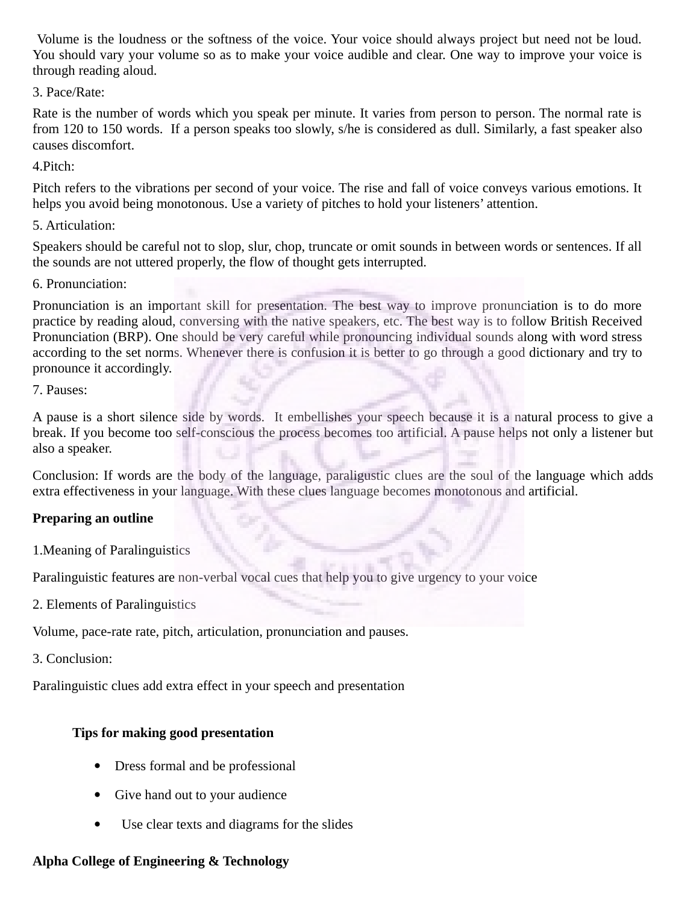Volume is the loudness or the softness of the voice. Your voice should always project but need not be loud. You should vary your volume so as to make your voice audible and clear. One way to improve your voice is through reading aloud.

3. Pace/Rate:

Rate is the number of words which you speak per minute. It varies from person to person. The normal rate is from 120 to 150 words. If a person speaks too slowly, s/he is considered as dull. Similarly, a fast speaker also causes discomfort.

4.Pitch:

Pitch refers to the vibrations per second of your voice. The rise and fall of voice conveys various emotions. It helps you avoid being monotonous. Use a variety of pitches to hold your listeners' attention.

5. Articulation:

Speakers should be careful not to slop, slur, chop, truncate or omit sounds in between words or sentences. If all the sounds are not uttered properly, the flow of thought gets interrupted.

6. Pronunciation:

Pronunciation is an important skill for presentation. The best way to improve pronunciation is to do more practice by reading aloud, conversing with the native speakers, etc. The best way is to follow British Received Pronunciation (BRP). One should be very careful while pronouncing individual sounds along with word stress according to the set norms. Whenever there is confusion it is better to go through a good dictionary and try to pronounce it accordingly.

7. Pauses:

A pause is a short silence side by words. It embellishes your speech because it is a natural process to give a break. If you become too self-conscious the process becomes too artificial. A pause helps not only a listener but also a speaker.

Conclusion: If words are the body of the language, paraligustic clues are the soul of the language which adds extra effectiveness in your language. With these clues language becomes monotonous and artificial.

# **Preparing an outline**

1.Meaning of Paralinguistics

Paralinguistic features are non-verbal vocal cues that help you to give urgency to your voice

2. Elements of Paralinguistics

Volume, pace-rate rate, pitch, articulation, pronunciation and pauses.

3. Conclusion:

Paralinguistic clues add extra effect in your speech and presentation

# **Tips for making good presentation**

- Dress formal and be professional
- Give hand out to your audience
- Use clear texts and diagrams for the slides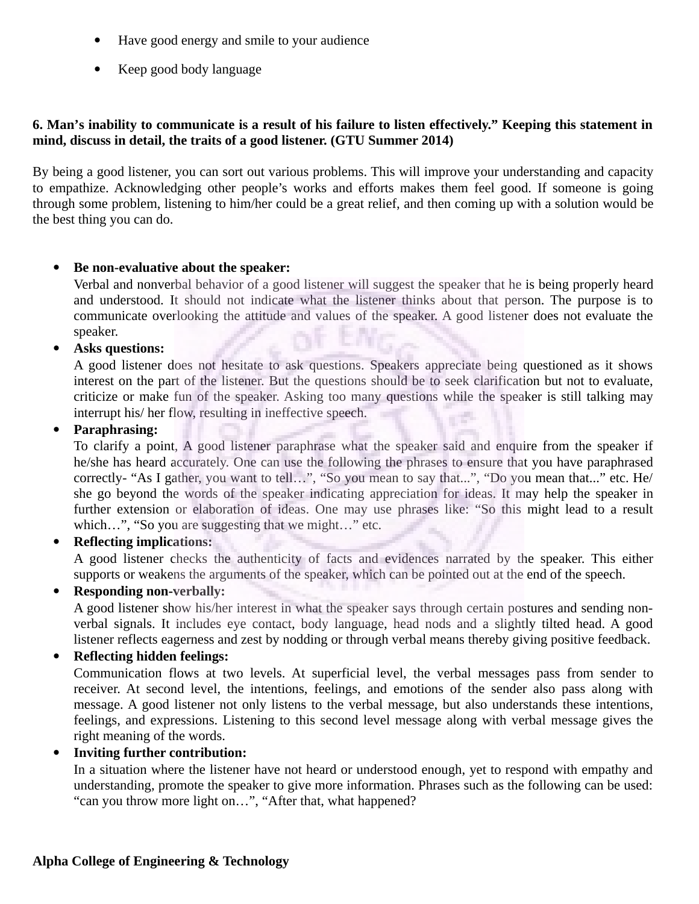- Have good energy and smile to your audience
- Keep good body language

#### **6. Man's inability to communicate is a result of his failure to listen effectively." Keeping this statement in mind, discuss in detail, the traits of a good listener. (GTU Summer 2014)**

By being a good listener, you can sort out various problems. This will improve your understanding and capacity to empathize. Acknowledging other people's works and efforts makes them feel good. If someone is going through some problem, listening to him/her could be a great relief, and then coming up with a solution would be the best thing you can do.

## **Be non-evaluative about the speaker:**

Verbal and nonverbal behavior of a good listener will suggest the speaker that he is being properly heard and understood. It should not indicate what the listener thinks about that person. The purpose is to communicate overlooking the attitude and values of the speaker. A good listener does not evaluate the speaker.

#### **Asks questions:**

A good listener does not hesitate to ask questions. Speakers appreciate being questioned as it shows interest on the part of the listener. But the questions should be to seek clarification but not to evaluate, criticize or make fun of the speaker. Asking too many questions while the speaker is still talking may interrupt his/ her flow, resulting in ineffective speech.

#### **Paraphrasing:**

To clarify a point, A good listener paraphrase what the speaker said and enquire from the speaker if he/she has heard accurately. One can use the following the phrases to ensure that you have paraphrased correctly- "As I gather, you want to tell…", "So you mean to say that...", "Do you mean that..." etc. He/ she go beyond the words of the speaker indicating appreciation for ideas. It may help the speaker in further extension or elaboration of ideas. One may use phrases like: "So this might lead to a result which…", "So you are suggesting that we might…" etc.

## **Reflecting implications:**

A good listener checks the authenticity of facts and evidences narrated by the speaker. This either supports or weakens the arguments of the speaker, which can be pointed out at the end of the speech.

#### **Responding non-verbally:**

A good listener show his/her interest in what the speaker says through certain postures and sending nonverbal signals. It includes eye contact, body language, head nods and a slightly tilted head. A good listener reflects eagerness and zest by nodding or through verbal means thereby giving positive feedback.

#### **Reflecting hidden feelings:**

Communication flows at two levels. At superficial level, the verbal messages pass from sender to receiver. At second level, the intentions, feelings, and emotions of the sender also pass along with message. A good listener not only listens to the verbal message, but also understands these intentions, feelings, and expressions. Listening to this second level message along with verbal message gives the right meaning of the words.

#### **Inviting further contribution:**

In a situation where the listener have not heard or understood enough, yet to respond with empathy and understanding, promote the speaker to give more information. Phrases such as the following can be used: "can you throw more light on…", "After that, what happened?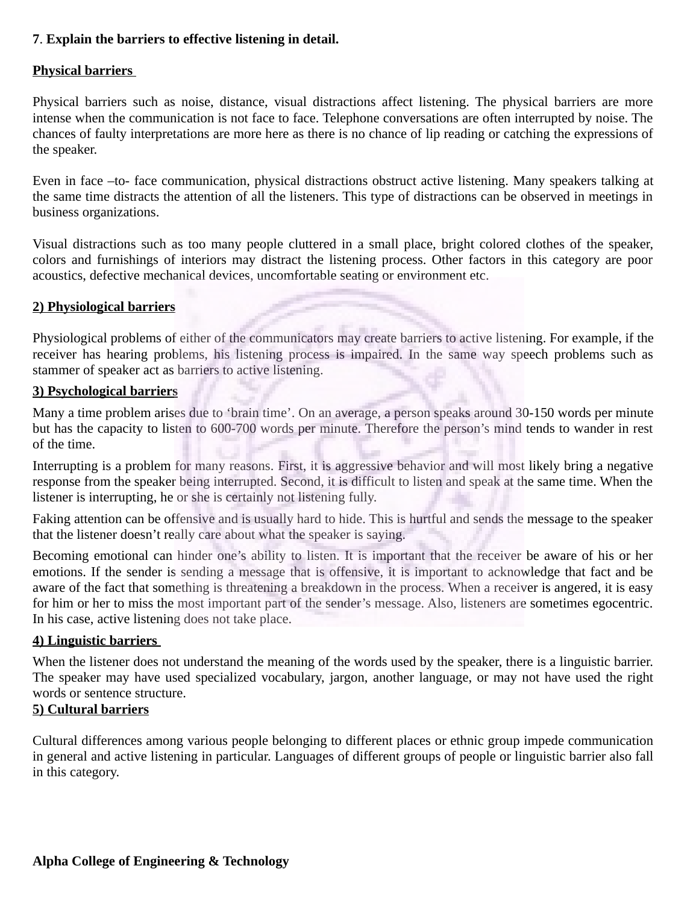## **7**. **Explain the barriers to effective listening in detail.**

#### **Physical barriers**

Physical barriers such as noise, distance, visual distractions affect listening. The physical barriers are more intense when the communication is not face to face. Telephone conversations are often interrupted by noise. The chances of faulty interpretations are more here as there is no chance of lip reading or catching the expressions of the speaker.

Even in face –to- face communication, physical distractions obstruct active listening. Many speakers talking at the same time distracts the attention of all the listeners. This type of distractions can be observed in meetings in business organizations.

Visual distractions such as too many people cluttered in a small place, bright colored clothes of the speaker, colors and furnishings of interiors may distract the listening process. Other factors in this category are poor acoustics, defective mechanical devices, uncomfortable seating or environment etc.

## **2) Physiological barriers**

Physiological problems of either of the communicators may create barriers to active listening. For example, if the receiver has hearing problems, his listening process is impaired. In the same way speech problems such as stammer of speaker act as barriers to active listening.

## **3) Psychological barriers**

Many a time problem arises due to 'brain time'. On an average, a person speaks around 30-150 words per minute but has the capacity to listen to 600-700 words per minute. Therefore the person's mind tends to wander in rest of the time.

Interrupting is a problem for many reasons. First, it is aggressive behavior and will most likely bring a negative response from the speaker being interrupted. Second, it is difficult to listen and speak at the same time. When the listener is interrupting, he or she is certainly not listening fully.

Faking attention can be offensive and is usually hard to hide. This is hurtful and sends the message to the speaker that the listener doesn't really care about what the speaker is saying.

Becoming emotional can hinder one's ability to listen. It is important that the receiver be aware of his or her emotions. If the sender is sending a message that is offensive, it is important to acknowledge that fact and be aware of the fact that something is threatening a breakdown in the process. When a receiver is angered, it is easy for him or her to miss the most important part of the sender's message. Also, listeners are sometimes egocentric. In his case, active listening does not take place.

## **4) Linguistic barriers**

When the listener does not understand the meaning of the words used by the speaker, there is a linguistic barrier. The speaker may have used specialized vocabulary, jargon, another language, or may not have used the right words or sentence structure.

# **5) Cultural barriers**

Cultural differences among various people belonging to different places or ethnic group impede communication in general and active listening in particular. Languages of different groups of people or linguistic barrier also fall in this category.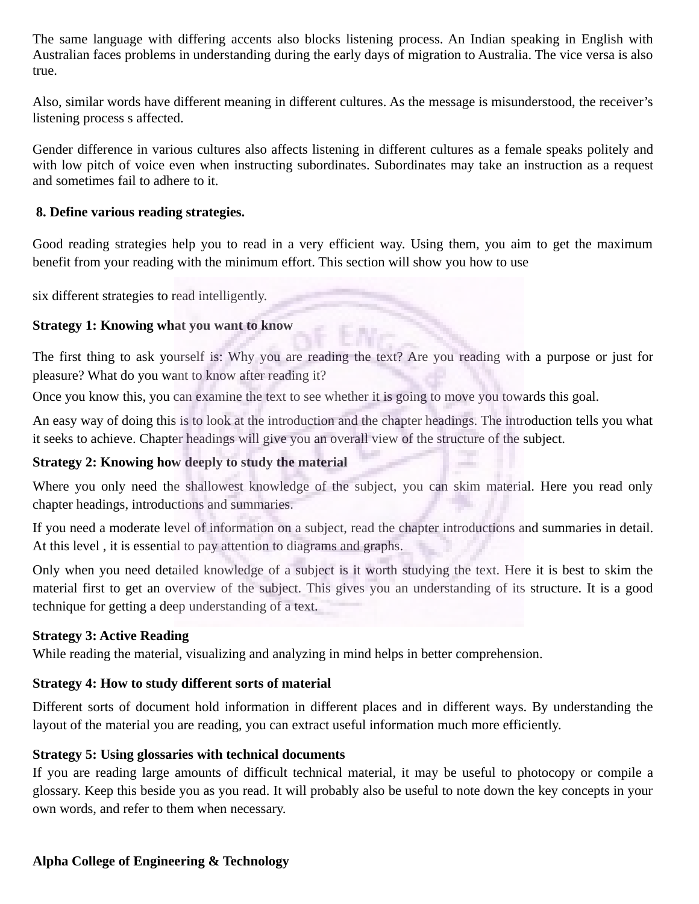The same language with differing accents also blocks listening process. An Indian speaking in English with Australian faces problems in understanding during the early days of migration to Australia. The vice versa is also true.

Also, similar words have different meaning in different cultures. As the message is misunderstood, the receiver's listening process s affected.

Gender difference in various cultures also affects listening in different cultures as a female speaks politely and with low pitch of voice even when instructing subordinates. Subordinates may take an instruction as a request and sometimes fail to adhere to it.

#### **8. Define various reading strategies.**

Good reading strategies help you to read in a very efficient way. Using them, you aim to get the maximum benefit from your reading with the minimum effort. This section will show you how to use

six different strategies to read intelligently.

## **Strategy 1: Knowing what you want to know**

The first thing to ask yourself is: Why you are reading the text? Are you reading with a purpose or just for pleasure? What do you want to know after reading it?

Once you know this, you can examine the text to see whether it is going to move you towards this goal.

An easy way of doing this is to look at the introduction and the chapter headings. The introduction tells you what it seeks to achieve. Chapter headings will give you an overall view of the structure of the subject.

## **Strategy 2: Knowing how deeply to study the material**

Where you only need the shallowest knowledge of the subject, you can skim material. Here you read only chapter headings, introductions and summaries.

If you need a moderate level of information on a subject, read the chapter introductions and summaries in detail. At this level , it is essential to pay attention to diagrams and graphs.

Only when you need detailed knowledge of a subject is it worth studying the text. Here it is best to skim the material first to get an overview of the subject. This gives you an understanding of its structure. It is a good technique for getting a deep understanding of a text.

## **Strategy 3: Active Reading**

While reading the material, visualizing and analyzing in mind helps in better comprehension.

## **Strategy 4: How to study different sorts of material**

Different sorts of document hold information in different places and in different ways. By understanding the layout of the material you are reading, you can extract useful information much more efficiently.

## **Strategy 5: Using glossaries with technical documents**

If you are reading large amounts of difficult technical material, it may be useful to photocopy or compile a glossary. Keep this beside you as you read. It will probably also be useful to note down the key concepts in your own words, and refer to them when necessary.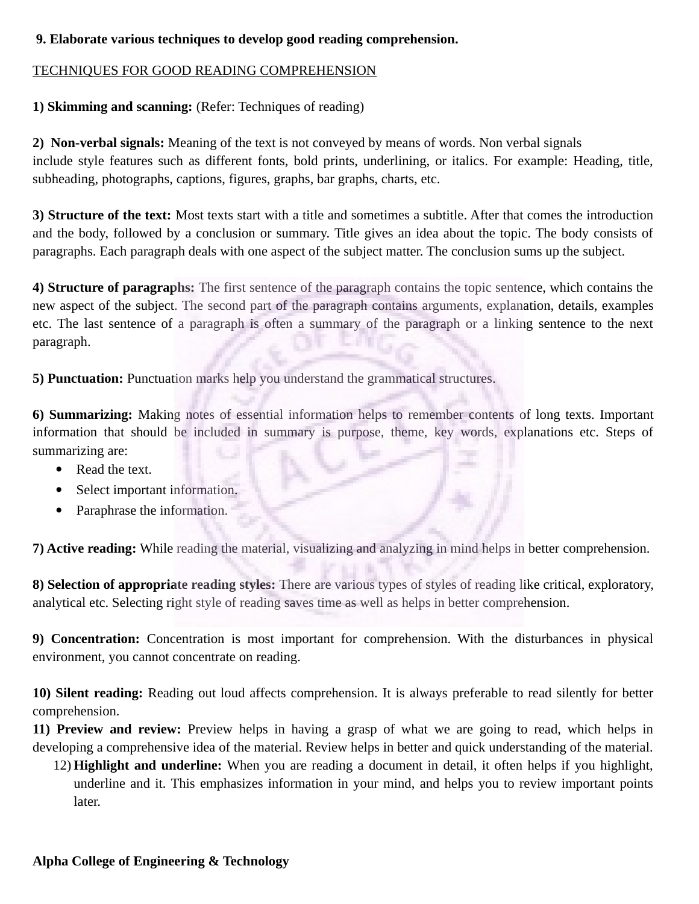## **9. Elaborate various techniques to develop good reading comprehension.**

## TECHNIQUES FOR GOOD READING COMPREHENSION

# **1) Skimming and scanning:** (Refer: Techniques of reading)

**2) Non-verbal signals:** Meaning of the text is not conveyed by means of words. Non verbal signals include style features such as different fonts, bold prints, underlining, or italics. For example: Heading, title, subheading, photographs, captions, figures, graphs, bar graphs, charts, etc.

**3) Structure of the text:** Most texts start with a title and sometimes a subtitle. After that comes the introduction and the body, followed by a conclusion or summary. Title gives an idea about the topic. The body consists of paragraphs. Each paragraph deals with one aspect of the subject matter. The conclusion sums up the subject.

**4) Structure of paragraphs:** The first sentence of the paragraph contains the topic sentence, which contains the new aspect of the subject. The second part of the paragraph contains arguments, explanation, details, examples etc. The last sentence of a paragraph is often a summary of the paragraph or a linking sentence to the next paragraph.

**5) Punctuation:** Punctuation marks help you understand the grammatical structures.

**6) Summarizing:** Making notes of essential information helps to remember contents of long texts. Important information that should be included in summary is purpose, theme, key words, explanations etc. Steps of summarizing are:

- Read the text.
- Select important information.
- Paraphrase the information.

**7) Active reading:** While reading the material, visualizing and analyzing in mind helps in better comprehension.

**8) Selection of appropriate reading styles:** There are various types of styles of reading like critical, exploratory, analytical etc. Selecting right style of reading saves time as well as helps in better comprehension.

**9) Concentration:** Concentration is most important for comprehension. With the disturbances in physical environment, you cannot concentrate on reading.

**10) Silent reading:** Reading out loud affects comprehension. It is always preferable to read silently for better comprehension.

**11) Preview and review:** Preview helps in having a grasp of what we are going to read, which helps in developing a comprehensive idea of the material. Review helps in better and quick understanding of the material.

12) **Highlight and underline:** When you are reading a document in detail, it often helps if you highlight, underline and it. This emphasizes information in your mind, and helps you to review important points later.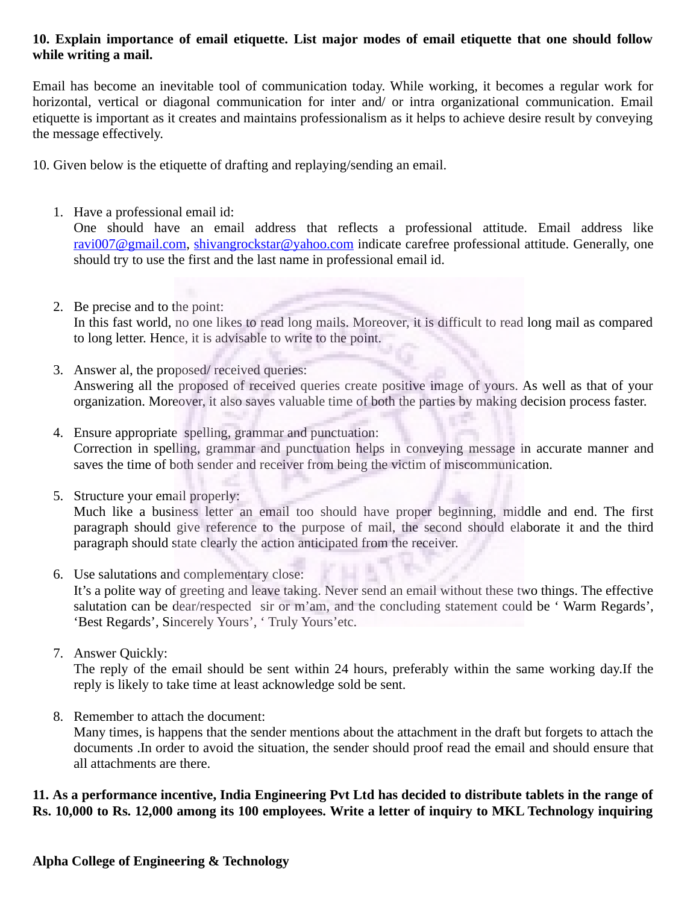#### **10. Explain importance of email etiquette. List major modes of email etiquette that one should follow while writing a mail.**

Email has become an inevitable tool of communication today. While working, it becomes a regular work for horizontal, vertical or diagonal communication for inter and/ or intra organizational communication. Email etiquette is important as it creates and maintains professionalism as it helps to achieve desire result by conveying the message effectively.

10. Given below is the etiquette of drafting and replaying/sending an email.

1. Have a professional email id:

One should have an email address that reflects a professional attitude. Email address like [ravi007@gmail.com,](mailto:ravi007@gmail.com) [shivangrockstar@yahoo.com](mailto:shivangrockstar@yahoo.com) indicate carefree professional attitude. Generally, one should try to use the first and the last name in professional email id.

- 2. Be precise and to the point: In this fast world, no one likes to read long mails. Moreover, it is difficult to read long mail as compared to long letter. Hence, it is advisable to write to the point.
- 3. Answer al, the proposed/ received queries: Answering all the proposed of received queries create positive image of yours. As well as that of your organization. Moreover, it also saves valuable time of both the parties by making decision process faster.
- 4. Ensure appropriate spelling, grammar and punctuation: Correction in spelling, grammar and punctuation helps in conveying message in accurate manner and saves the time of both sender and receiver from being the victim of miscommunication.
- 5. Structure your email properly:

Much like a business letter an email too should have proper beginning, middle and end. The first paragraph should give reference to the purpose of mail, the second should elaborate it and the third paragraph should state clearly the action anticipated from the receiver.

6. Use salutations and complementary close:

It's a polite way of greeting and leave taking. Never send an email without these two things. The effective salutation can be dear/respected sir or m'am, and the concluding statement could be 'Warm Regards', 'Best Regards', Sincerely Yours', ' Truly Yours'etc.

7. Answer Quickly:

The reply of the email should be sent within 24 hours, preferably within the same working day.If the reply is likely to take time at least acknowledge sold be sent.

8. Remember to attach the document:

Many times, is happens that the sender mentions about the attachment in the draft but forgets to attach the documents .In order to avoid the situation, the sender should proof read the email and should ensure that all attachments are there.

## **11. As a performance incentive, India Engineering Pvt Ltd has decided to distribute tablets in the range of Rs. 10,000 to Rs. 12,000 among its 100 employees. Write a letter of inquiry to MKL Technology inquiring**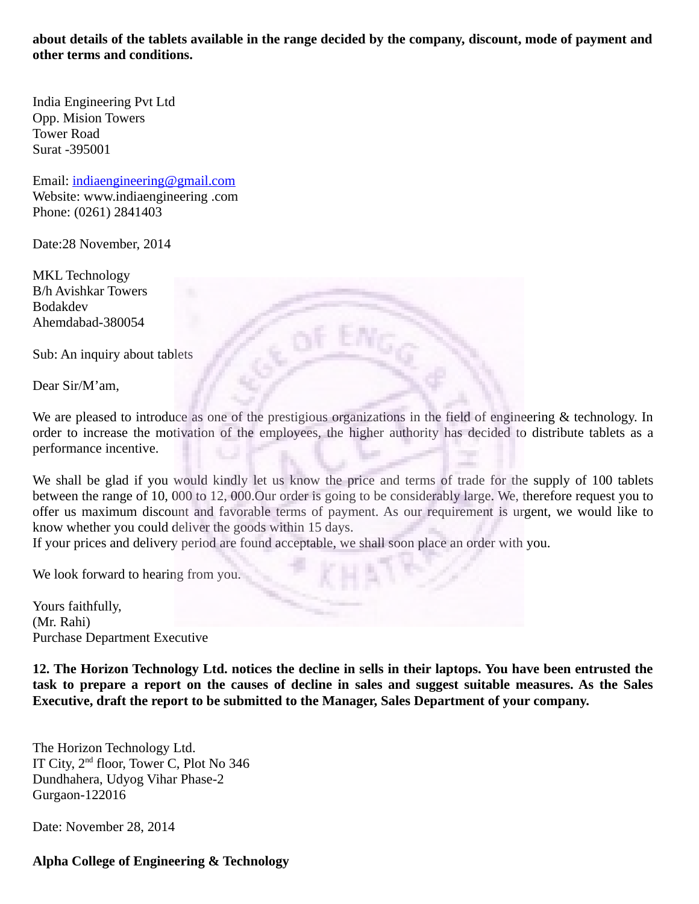**about details of the tablets available in the range decided by the company, discount, mode of payment and other terms and conditions.** 

India Engineering Pvt Ltd Opp. Mision Towers Tower Road Surat -395001

Email: [indiaengineering@gmail.com](mailto:indiaengineering@gmail.com) Website: www.indiaengineering .com Phone: (0261) 2841403

Date:28 November, 2014

MKL Technology B/h Avishkar Towers Bodakdev Ahemdabad-380054

Sub: An inquiry about tablets

Dear Sir/M'am,

We are pleased to introduce as one of the prestigious organizations in the field of engineering & technology. In order to increase the motivation of the employees, the higher authority has decided to distribute tablets as a performance incentive.

We shall be glad if you would kindly let us know the price and terms of trade for the supply of 100 tablets between the range of 10, 000 to 12, 000.Our order is going to be considerably large. We, therefore request you to offer us maximum discount and favorable terms of payment. As our requirement is urgent, we would like to know whether you could deliver the goods within 15 days.

If your prices and delivery period are found acceptable, we shall soon place an order with you.

We look forward to hearing from you.

Yours faithfully, (Mr. Rahi) Purchase Department Executive

**12. The Horizon Technology Ltd. notices the decline in sells in their laptops. You have been entrusted the task to prepare a report on the causes of decline in sales and suggest suitable measures. As the Sales Executive, draft the report to be submitted to the Manager, Sales Department of your company.**

The Horizon Technology Ltd. IT City, 2<sup>nd</sup> floor, Tower C, Plot No 346 Dundhahera, Udyog Vihar Phase-2 Gurgaon-122016

Date: November 28, 2014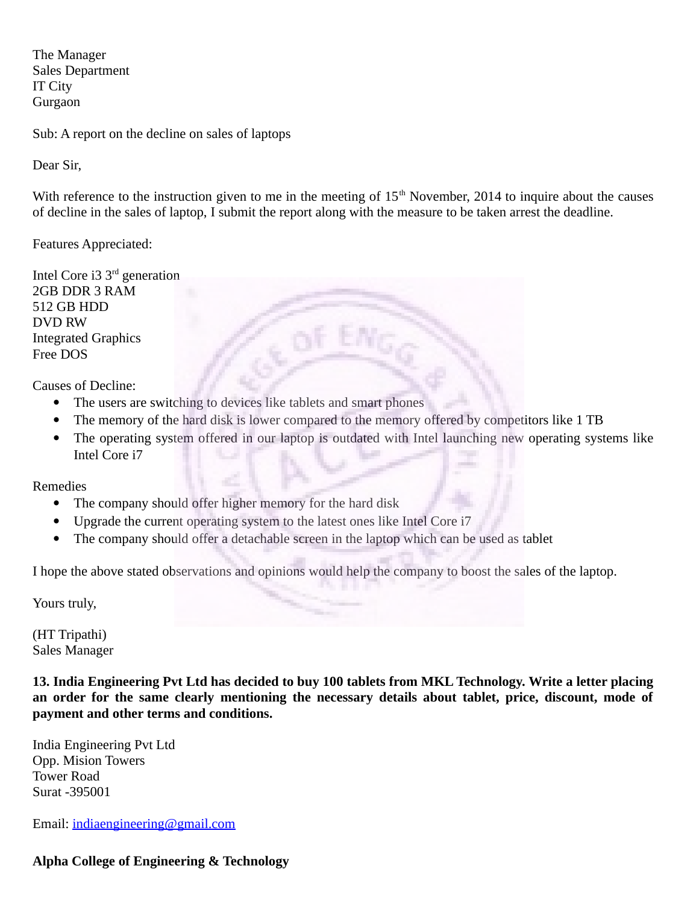The Manager Sales Department IT City Gurgaon

Sub: A report on the decline on sales of laptops

Dear Sir,

With reference to the instruction given to me in the meeting of  $15<sup>th</sup>$  November, 2014 to inquire about the causes of decline in the sales of laptop, I submit the report along with the measure to be taken arrest the deadline.

Features Appreciated:

Intel Core i3  $3<sup>rd</sup>$  generation 2GB DDR 3 RAM 512 GB HDD DVD RW Integrated Graphics Free DOS

Causes of Decline:

- The users are switching to devices like tablets and smart phones
- The memory of the hard disk is lower compared to the memory offered by competitors like 1 TB
- The operating system offered in our laptop is outdated with Intel launching new operating systems like Intel Core i7

Remedies

- The company should offer higher memory for the hard disk
- Upgrade the current operating system to the latest ones like Intel Core i7
- The company should offer a detachable screen in the laptop which can be used as tablet

I hope the above stated observations and opinions would help the company to boost the sales of the laptop.

Yours truly,

(HT Tripathi) Sales Manager

**13. India Engineering Pvt Ltd has decided to buy 100 tablets from MKL Technology. Write a letter placing an order for the same clearly mentioning the necessary details about tablet, price, discount, mode of payment and other terms and conditions.**

India Engineering Pvt Ltd Opp. Mision Towers Tower Road Surat -395001

Email: [indiaengineering@gmail.com](mailto:indiaengineering@gmail.com)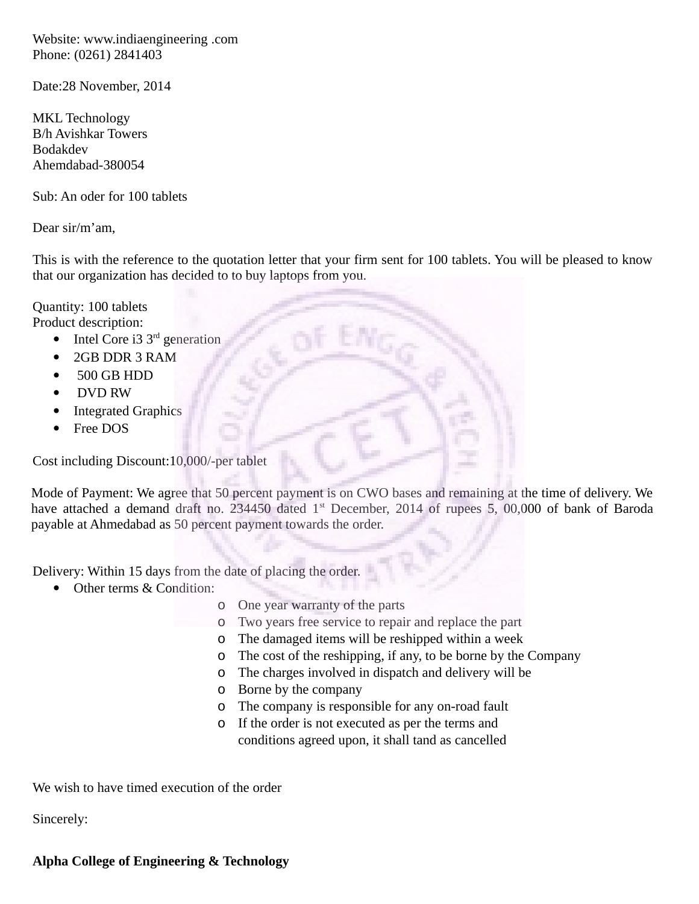Website: www.indiaengineering .com Phone: (0261) 2841403

Date:28 November, 2014

MKL Technology B/h Avishkar Towers Bodakdev Ahemdabad-380054

Sub: An oder for 100 tablets

Dear sir/m'am,

This is with the reference to the quotation letter that your firm sent for 100 tablets. You will be pleased to know that our organization has decided to to buy laptops from you.

Quantity: 100 tablets

Product description:

- Intel Core i3  $3<sup>rd</sup>$  generation
- 2GB DDR 3 RAM
- 500 GB HDD
- DVD RW
- Integrated Graphics
- Free DOS

Cost including Discount:10,000/-per tablet

Mode of Payment: We agree that 50 percent payment is on CWO bases and remaining at the time of delivery. We have attached a demand draft no. 234450 dated 1<sup>st</sup> December, 2014 of rupees 5, 00,000 of bank of Baroda payable at Ahmedabad as 50 percent payment towards the order.

Delivery: Within 15 days from the date of placing the order.

- Other terms & Condition:
	- o One year warranty of the parts
	- o Two years free service to repair and replace the part
	- o The damaged items will be reshipped within a week
	- o The cost of the reshipping, if any, to be borne by the Company
	- o The charges involved in dispatch and delivery will be
	- o Borne by the company
	- o The company is responsible for any on-road fault
	- o If the order is not executed as per the terms and conditions agreed upon, it shall tand as cancelled

We wish to have timed execution of the order

Sincerely: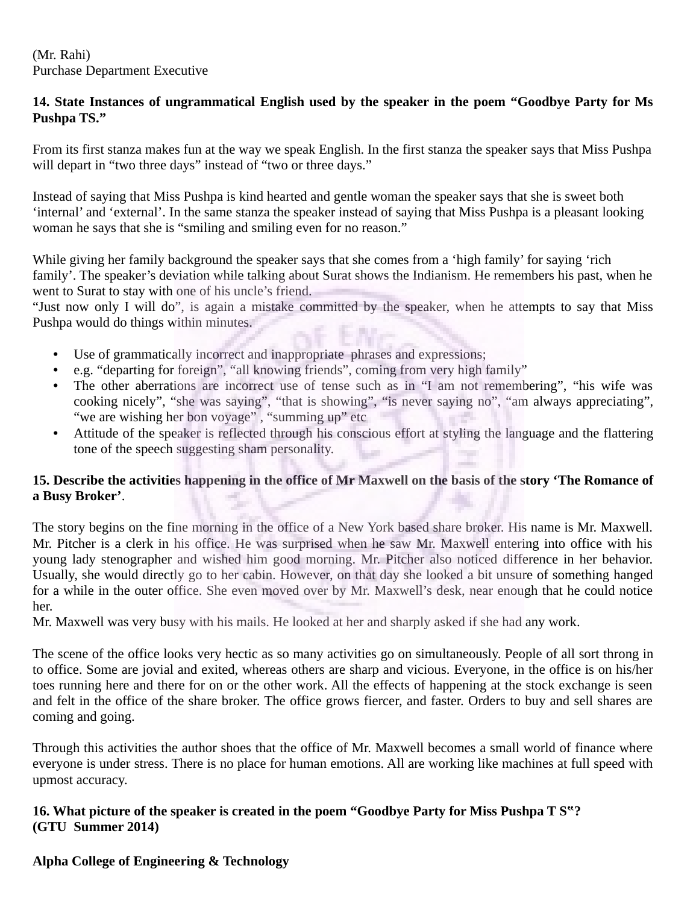(Mr. Rahi) Purchase Department Executive

#### **14. State Instances of ungrammatical English used by the speaker in the poem "Goodbye Party for Ms Pushpa TS."**

From its first stanza makes fun at the way we speak English. In the first stanza the speaker says that Miss Pushpa will depart in "two three days" instead of "two or three days."

Instead of saying that Miss Pushpa is kind hearted and gentle woman the speaker says that she is sweet both 'internal' and 'external'. In the same stanza the speaker instead of saying that Miss Pushpa is a pleasant looking woman he says that she is "smiling and smiling even for no reason."

While giving her family background the speaker says that she comes from a 'high family' for saying 'rich family'. The speaker's deviation while talking about Surat shows the Indianism. He remembers his past, when he went to Surat to stay with one of his uncle's friend.

"Just now only I will do", is again a mistake committed by the speaker, when he attempts to say that Miss Pushpa would do things within minutes.

- Use of grammatically incorrect and inappropriate phrases and expressions;
- e.g. "departing for foreign", "all knowing friends", coming from very high family"
- The other aberrations are incorrect use of tense such as in "I am not remembering", "his wife was cooking nicely", "she was saying", "that is showing", "is never saying no", "am always appreciating", "we are wishing her bon voyage", "summing up" etc
- Attitude of the speaker is reflected through his conscious effort at styling the language and the flattering tone of the speech suggesting sham personality.

# **15. Describe the activities happening in the office of Mr Maxwell on the basis of the story 'The Romance of a Busy Broker'**.

The story begins on the fine morning in the office of a New York based share broker. His name is Mr. Maxwell. Mr. Pitcher is a clerk in his office. He was surprised when he saw Mr. Maxwell entering into office with his young lady stenographer and wished him good morning. Mr. Pitcher also noticed difference in her behavior. Usually, she would directly go to her cabin. However, on that day she looked a bit unsure of something hanged for a while in the outer office. She even moved over by Mr. Maxwell's desk, near enough that he could notice her.

Mr. Maxwell was very busy with his mails. He looked at her and sharply asked if she had any work.

The scene of the office looks very hectic as so many activities go on simultaneously. People of all sort throng in to office. Some are jovial and exited, whereas others are sharp and vicious. Everyone, in the office is on his/her toes running here and there for on or the other work. All the effects of happening at the stock exchange is seen and felt in the office of the share broker. The office grows fiercer, and faster. Orders to buy and sell shares are coming and going.

Through this activities the author shoes that the office of Mr. Maxwell becomes a small world of finance where everyone is under stress. There is no place for human emotions. All are working like machines at full speed with upmost accuracy.

#### **16. What picture of the speaker is created in the poem "Goodbye Party for Miss Pushpa T S"? (GTU Summer 2014)**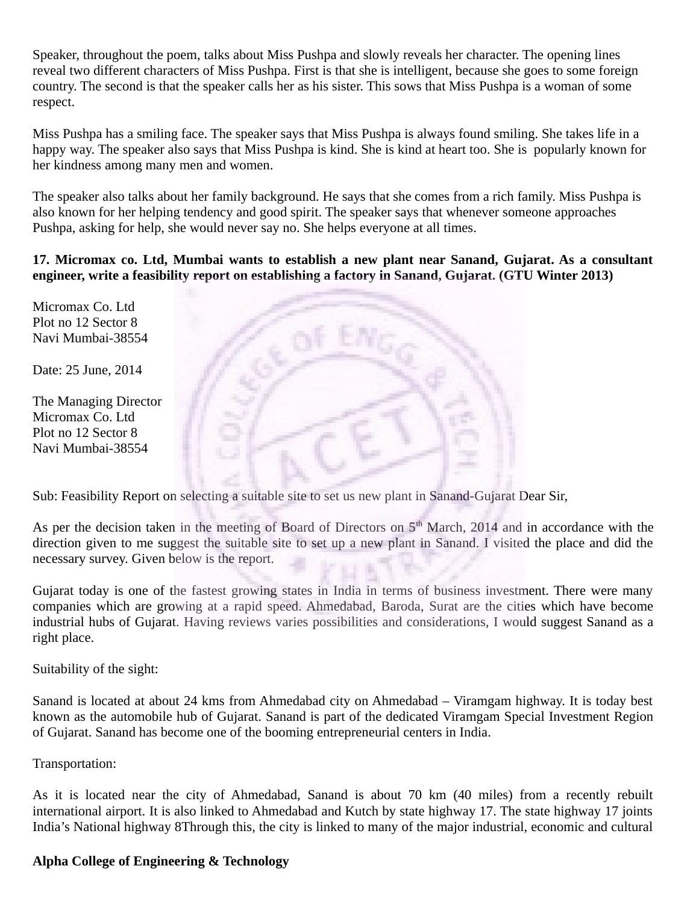Speaker, throughout the poem, talks about Miss Pushpa and slowly reveals her character. The opening lines reveal two different characters of Miss Pushpa. First is that she is intelligent, because she goes to some foreign country. The second is that the speaker calls her as his sister. This sows that Miss Pushpa is a woman of some respect.

Miss Pushpa has a smiling face. The speaker says that Miss Pushpa is always found smiling. She takes life in a happy way. The speaker also says that Miss Pushpa is kind. She is kind at heart too. She is popularly known for her kindness among many men and women.

The speaker also talks about her family background. He says that she comes from a rich family. Miss Pushpa is also known for her helping tendency and good spirit. The speaker says that whenever someone approaches Pushpa, asking for help, she would never say no. She helps everyone at all times.

#### **17. Micromax co. Ltd, Mumbai wants to establish a new plant near Sanand, Gujarat. As a consultant engineer, write a feasibility report on establishing a factory in Sanand, Gujarat. (GTU Winter 2013)**

Micromax Co. Ltd Plot no 12 Sector 8 Navi Mumbai-38554

Date: 25 June, 2014

The Managing Director Micromax Co. Ltd Plot no 12 Sector 8 Navi Mumbai-38554



Sub: Feasibility Report on selecting a suitable site to set us new plant in Sanand-Gujarat Dear Sir,

As per the decision taken in the meeting of Board of Directors on  $5<sup>th</sup>$  March, 2014 and in accordance with the direction given to me suggest the suitable site to set up a new plant in Sanand. I visited the place and did the necessary survey. Given below is the report.

Gujarat today is one of the fastest growing states in India in terms of business investment. There were many companies which are growing at a rapid speed. Ahmedabad, Baroda, Surat are the cities which have become industrial hubs of Gujarat. Having reviews varies possibilities and considerations, I would suggest Sanand as a right place.

Suitability of the sight:

Sanand is located at about 24 kms from Ahmedabad city on Ahmedabad – Viramgam highway. It is today best known as the automobile hub of Gujarat. Sanand is part of the dedicated Viramgam Special Investment Region of Gujarat. Sanand has become one of the booming entrepreneurial centers in India.

Transportation:

As it is located near the city of Ahmedabad, Sanand is about 70 km (40 miles) from a recently rebuilt international airport. It is also linked to Ahmedabad and Kutch by state highway 17. The state highway 17 joints India's National highway 8Through this, the city is linked to many of the major industrial, economic and cultural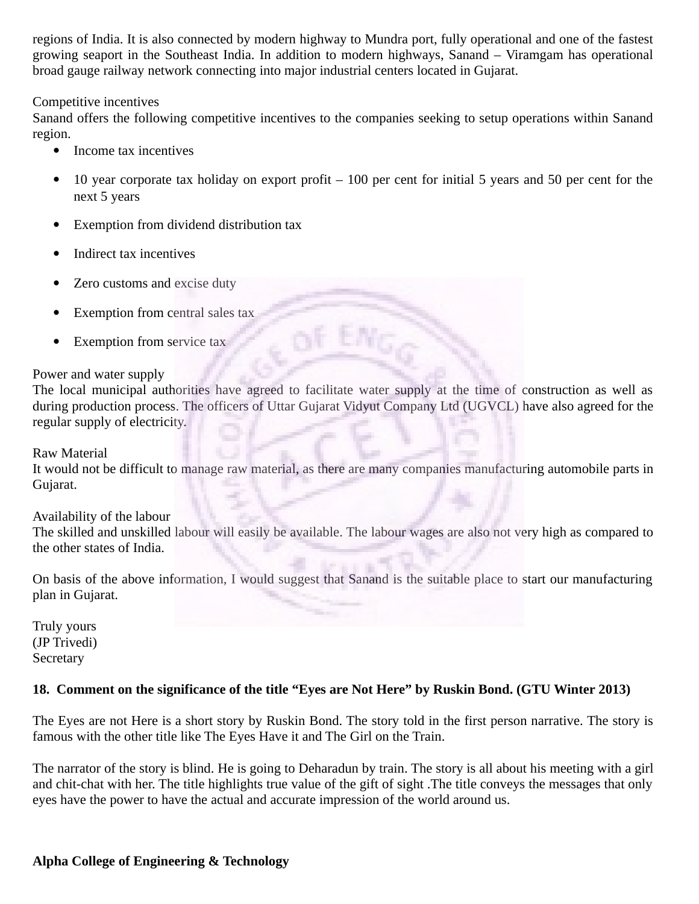regions of India. It is also connected by modern highway to Mundra port, fully operational and one of the fastest growing seaport in the Southeast India. In addition to modern highways, Sanand – Viramgam has operational broad gauge railway network connecting into major industrial centers located in Gujarat.

#### Competitive incentives

Sanand offers the following competitive incentives to the companies seeking to setup operations within Sanand region.

- Income tax incentives
- $\bullet$  10 year corporate tax holiday on export profit  $-100$  per cent for initial 5 years and 50 per cent for the next 5 years
- Exemption from dividend distribution tax
- Indirect tax incentives
- Zero customs and excise duty
- Exemption from central sales tax
- Exemption from service tax

#### Power and water supply

The local municipal authorities have agreed to facilitate water supply at the time of construction as well as during production process. The officers of Uttar Gujarat Vidyut Company Ltd (UGVCL) have also agreed for the regular supply of electricity.

#### Raw Material

It would not be difficult to manage raw material, as there are many companies manufacturing automobile parts in Gujarat.

#### Availability of the labour

The skilled and unskilled labour will easily be available. The labour wages are also not very high as compared to the other states of India.

On basis of the above information, I would suggest that Sanand is the suitable place to start our manufacturing plan in Gujarat.

Truly yours (JP Trivedi) **Secretary** 

## **18. Comment on the significance of the title "Eyes are Not Here" by Ruskin Bond. (GTU Winter 2013)**

The Eyes are not Here is a short story by Ruskin Bond. The story told in the first person narrative. The story is famous with the other title like The Eyes Have it and The Girl on the Train.

The narrator of the story is blind. He is going to Deharadun by train. The story is all about his meeting with a girl and chit-chat with her. The title highlights true value of the gift of sight .The title conveys the messages that only eyes have the power to have the actual and accurate impression of the world around us.